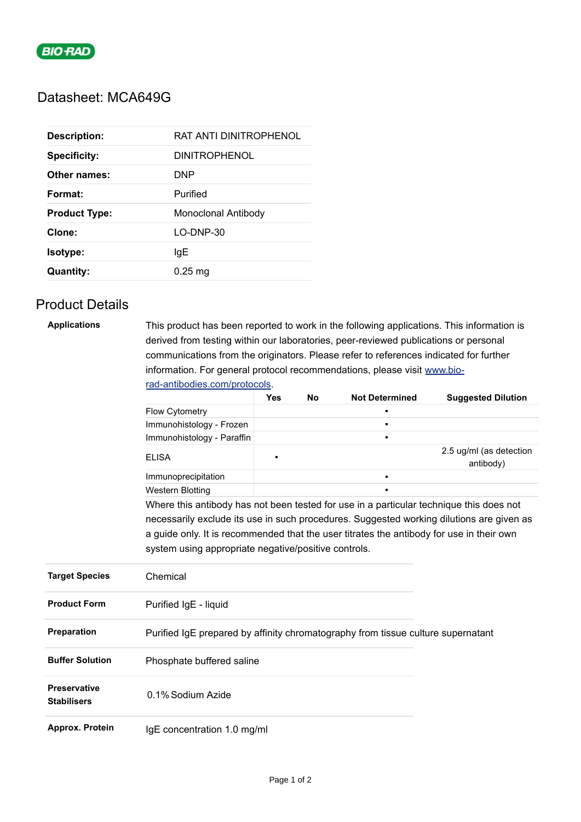

## Datasheet: MCA649G

| <b>Description:</b>  | RAT ANTI DINITROPHENOL |
|----------------------|------------------------|
| <b>Specificity:</b>  | <b>DINITROPHENOL</b>   |
| Other names:         | DNP                    |
| Format:              | Purified               |
| <b>Product Type:</b> | Monoclonal Antibody    |
| Clone:               | $LO-DNP-30$            |
| <b>Isotype:</b>      | IgE                    |
| <b>Quantity:</b>     | $0.25$ mg              |

# Product Details

### **Applications** This product has been reported to work in the following applications. This information is derived from testing within our laboratories, peer-reviewed publications or personal communications from the originators. Please refer to references indicated for further information. For general protocol recommendations, please visit [www.bio](https://www.bio-rad-antibodies.com/protocols)rad-antibodies.com/protocols.

|                                           |                                                                                                                                                                                                                                              | <b>Yes</b> | <b>No</b> | <b>Not Determined</b> | <b>Suggested Dilution</b>            |
|-------------------------------------------|----------------------------------------------------------------------------------------------------------------------------------------------------------------------------------------------------------------------------------------------|------------|-----------|-----------------------|--------------------------------------|
|                                           | <b>Flow Cytometry</b>                                                                                                                                                                                                                        |            |           |                       |                                      |
|                                           | Immunohistology - Frozen                                                                                                                                                                                                                     |            |           | $\blacksquare$        |                                      |
|                                           | Immunohistology - Paraffin                                                                                                                                                                                                                   |            |           | $\blacksquare$        |                                      |
|                                           | <b>ELISA</b>                                                                                                                                                                                                                                 | п          |           |                       | 2.5 ug/ml (as detection<br>antibody) |
|                                           | Immunoprecipitation                                                                                                                                                                                                                          |            |           | ٠                     |                                      |
|                                           | <b>Western Blotting</b>                                                                                                                                                                                                                      |            |           | $\blacksquare$        |                                      |
|                                           | necessarily exclude its use in such procedures. Suggested working dilutions are given as<br>a guide only. It is recommended that the user titrates the antibody for use in their own<br>system using appropriate negative/positive controls. |            |           |                       |                                      |
| <b>Target Species</b>                     | Chemical                                                                                                                                                                                                                                     |            |           |                       |                                      |
| <b>Product Form</b>                       | Purified IgE - liquid                                                                                                                                                                                                                        |            |           |                       |                                      |
| Preparation                               | Purified IgE prepared by affinity chromatography from tissue culture supernatant                                                                                                                                                             |            |           |                       |                                      |
| <b>Buffer Solution</b>                    | Phosphate buffered saline                                                                                                                                                                                                                    |            |           |                       |                                      |
| <b>Preservative</b><br><b>Stabilisers</b> | 0.1% Sodium Azide                                                                                                                                                                                                                            |            |           |                       |                                      |
| Approx. Protein                           | IgE concentration 1.0 mg/ml                                                                                                                                                                                                                  |            |           |                       |                                      |